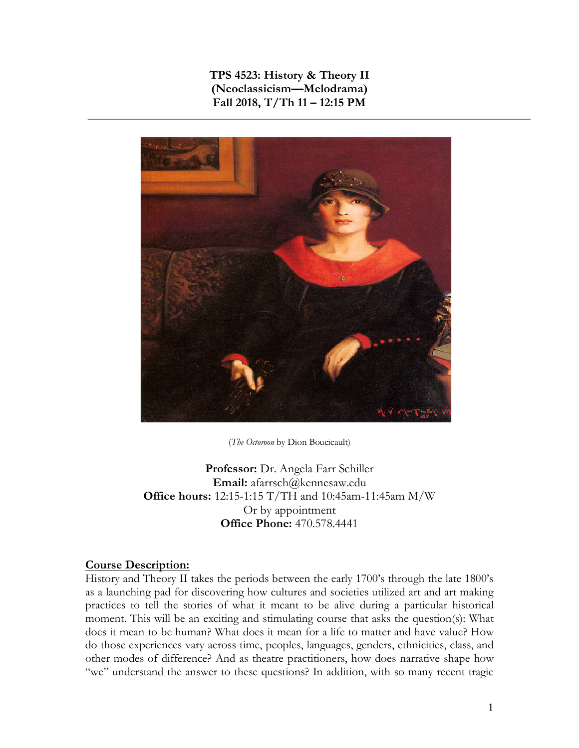**TPS 4523: History & Theory II (Neoclassicism—Melodrama) Fall 2018, T/Th 11 – 12:15 PM**



(*The Octoroon* by Dion Boucicault)

**Professor:** Dr. Angela Farr Schiller **Email:** afarrsch@kennesaw.edu **Office hours:** 12:15-1:15 T/TH and 10:45am-11:45am M/W Or by appointment **Office Phone:** 470.578.4441

#### **Course Description:**

History and Theory II takes the periods between the early 1700's through the late 1800's as a launching pad for discovering how cultures and societies utilized art and art making practices to tell the stories of what it meant to be alive during a particular historical moment. This will be an exciting and stimulating course that asks the question(s): What does it mean to be human? What does it mean for a life to matter and have value? How do those experiences vary across time, peoples, languages, genders, ethnicities, class, and other modes of difference? And as theatre practitioners, how does narrative shape how "we" understand the answer to these questions? In addition, with so many recent tragic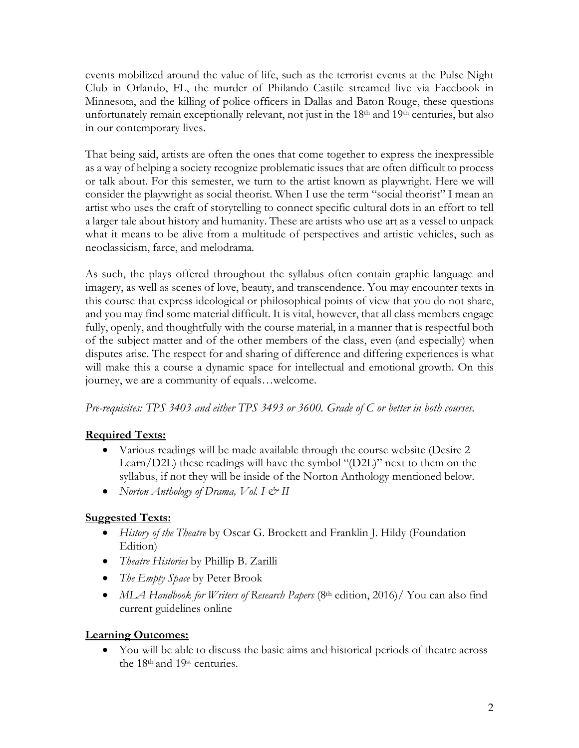events mobilized around the value of life, such as the terrorist events at the Pulse Night Club in Orlando, FL, the murder of Philando Castile streamed live via Facebook in Minnesota, and the killing of police officers in Dallas and Baton Rouge, these questions unfortunately remain exceptionally relevant, not just in the  $18<sup>th</sup>$  and  $19<sup>th</sup>$  centuries, but also in our contemporary lives.

That being said, artists are often the ones that come together to express the inexpressible as a way of helping a society recognize problematic issues that are often difficult to process or talk about. For this semester, we turn to the artist known as playwright. Here we will consider the playwright as social theorist. When I use the term "social theorist" I mean an artist who uses the craft of storytelling to connect specific cultural dots in an effort to tell a larger tale about history and humanity. These are artists who use art as a vessel to unpack what it means to be alive from a multitude of perspectives and artistic vehicles, such as neoclassicism, farce, and melodrama.

As such, the plays offered throughout the syllabus often contain graphic language and imagery, as well as scenes of love, beauty, and transcendence. You may encounter texts in this course that express ideological or philosophical points of view that you do not share, and you may find some material difficult. It is vital, however, that all class members engage fully, openly, and thoughtfully with the course material, in a manner that is respectful both of the subject matter and of the other members of the class, even (and especially) when disputes arise. The respect for and sharing of difference and differing experiences is what will make this a course a dynamic space for intellectual and emotional growth. On this journey, we are a community of equals…welcome.

*Pre-requisites: TPS 3403 and either TPS 3493 or 3600. Grade of C or better in both courses.*

# **Required Texts:**

- Various readings will be made available through the course website (Desire 2) Learn/D2L) these readings will have the symbol "(D2L)" next to them on the syllabus, if not they will be inside of the Norton Anthology mentioned below.
- *Norton Anthology of Drama, Vol. I & II*

# **Suggested Texts:**

- *History of the Theatre* by Oscar G. Brockett and Franklin J. Hildy (Foundation Edition)
- *Theatre Histories* by Phillip B. Zarilli
- *The Empty Space* by Peter Brook
- *MLA Handbook for Writers of Research Papers* (8<sup>th</sup> edition, 2016)/ You can also find current guidelines online

# **Learning Outcomes:**

• You will be able to discuss the basic aims and historical periods of theatre across the 18th and 19st centuries.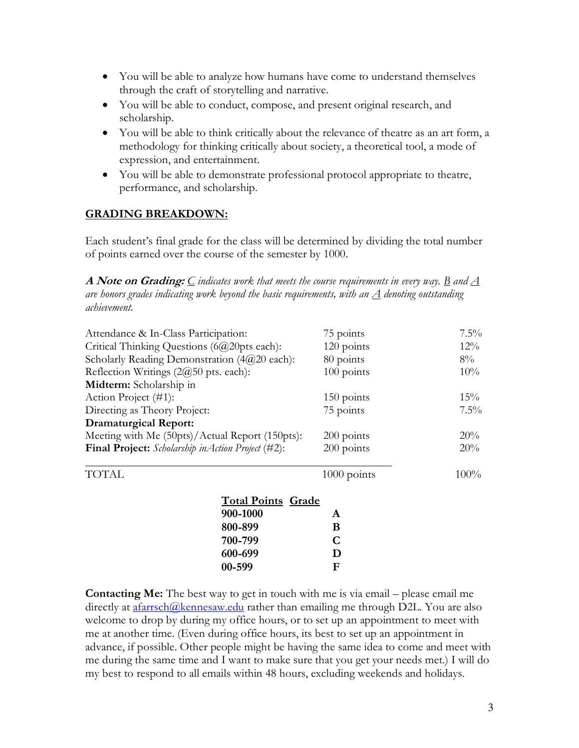- You will be able to analyze how humans have come to understand themselves through the craft of storytelling and narrative.
- You will be able to conduct, compose, and present original research, and scholarship.
- You will be able to think critically about the relevance of theatre as an art form, a methodology for thinking critically about society, a theoretical tool, a mode of expression, and entertainment.
- You will be able to demonstrate professional protocol appropriate to theatre, performance, and scholarship.

# **GRADING BREAKDOWN:**

Each student's final grade for the class will be determined by dividing the total number of points earned over the course of the semester by 1000.

**A Note on Grading:** *C indicates work that meets the course requirements in every way. B and A are honors grades indicating work beyond the basic requirements, with an A denoting outstanding achievement.*

| Attendance & In-Class Participation:               |                           | 75 points    | $7.5\%$ |
|----------------------------------------------------|---------------------------|--------------|---------|
| Critical Thinking Questions (6@20pts each):        |                           | 120 points   | $12\%$  |
| Scholarly Reading Demonstration (4@20 each):       |                           | 80 points    | $8\%$   |
| Reflection Writings $(2@50 \text{ pts. each})$ :   |                           | 100 points   | $10\%$  |
| Midterm: Scholarship in                            |                           |              |         |
| Action Project (#1):                               | $150$ points              | $15\%$       |         |
| Directing as Theory Project:                       |                           | 75 points    | $7.5\%$ |
| <b>Dramaturgical Report:</b>                       |                           |              |         |
| Meeting with Me (50pts)/Actual Report (150pts):    |                           | 200 points   | 20%     |
| Final Project: Scholarship in Action Project (#2): |                           | $200$ points | 20%     |
| <b>TOTAL</b>                                       |                           | 1000 points  | $100\%$ |
|                                                    | <b>Total Points Grade</b> |              |         |
|                                                    | 900-1000                  | A            |         |
|                                                    | 800-899                   | B            |         |
|                                                    | 700-799                   | C            |         |
|                                                    | 600-699                   | D            |         |
|                                                    | 00-599                    | F            |         |
|                                                    |                           |              |         |

**Contacting Me:** The best way to get in touch with me is via email – please email me directly at afarrsch@kennesaw.edu rather than emailing me through D2L. You are also welcome to drop by during my office hours, or to set up an appointment to meet with me at another time. (Even during office hours, its best to set up an appointment in advance, if possible. Other people might be having the same idea to come and meet with me during the same time and I want to make sure that you get your needs met.) I will do my best to respond to all emails within 48 hours, excluding weekends and holidays.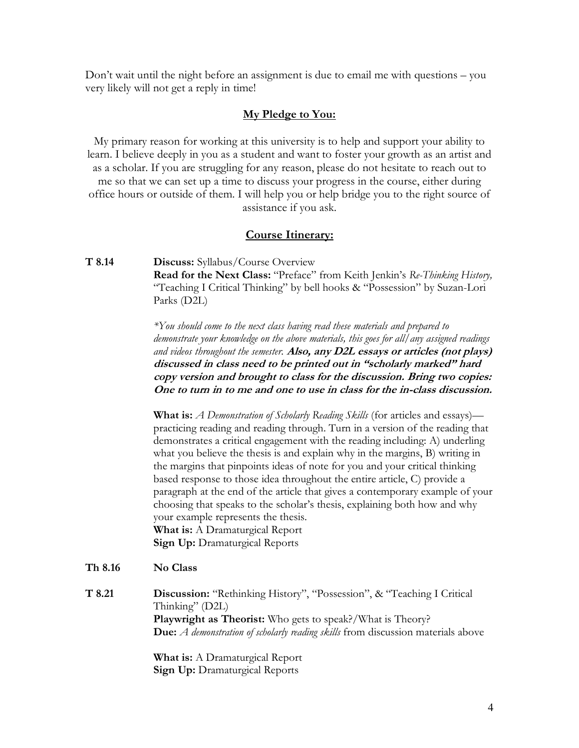Don't wait until the night before an assignment is due to email me with questions – you very likely will not get a reply in time!

#### **My Pledge to You:**

My primary reason for working at this university is to help and support your ability to learn. I believe deeply in you as a student and want to foster your growth as an artist and as a scholar. If you are struggling for any reason, please do not hesitate to reach out to me so that we can set up a time to discuss your progress in the course, either during office hours or outside of them. I will help you or help bridge you to the right source of assistance if you ask.

#### **Course Itinerary:**

**T 8.14 Discuss:** Syllabus/Course Overview **Read for the Next Class:** "Preface" from Keith Jenkin's *Re-Thinking History,*  "Teaching I Critical Thinking" by bell hooks & "Possession" by Suzan-Lori Parks (D2L)

> *\*You should come to the next class having read these materials and prepared to demonstrate your knowledge on the above materials, this goes for all/any assigned readings and videos throughout the semester.* **Also, any D2L essays or articles (not plays) discussed in class need to be printed out in "scholarly marked" hard copy version and brought to class for the discussion. Bring two copies: One to turn in to me and one to use in class for the in-class discussion.**

> **What is:** *A Demonstration of Scholarly Reading Skills* (for articles and essays) practicing reading and reading through. Turn in a version of the reading that demonstrates a critical engagement with the reading including: A) underling what you believe the thesis is and explain why in the margins, B) writing in the margins that pinpoints ideas of note for you and your critical thinking based response to those idea throughout the entire article, C) provide a paragraph at the end of the article that gives a contemporary example of your choosing that speaks to the scholar's thesis, explaining both how and why your example represents the thesis. **What is:** A Dramaturgical Report **Sign Up:** Dramaturgical Reports

#### **Th 8.16 No Class**

**T 8.21 Discussion:** "Rethinking History", "Possession", & "Teaching I Critical Thinking" (D2L) **Playwright as Theorist:** Who gets to speak?/What is Theory? **Due:** *A demonstration of scholarly reading skills* from discussion materials above

> **What is:** A Dramaturgical Report **Sign Up:** Dramaturgical Reports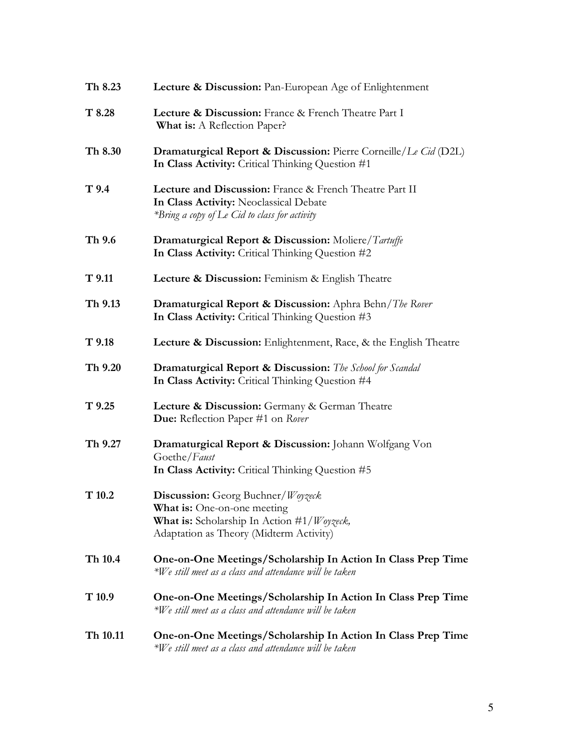| Th 8.23          | <b>Lecture &amp; Discussion:</b> Pan-European Age of Enlightenment                                                                                                                 |
|------------------|------------------------------------------------------------------------------------------------------------------------------------------------------------------------------------|
| T 8.28           | Lecture & Discussion: France & French Theatre Part I<br>What is: A Reflection Paper?                                                                                               |
| Th 8.30          | <b>Dramaturgical Report &amp; Discussion:</b> Pierre Corneille/Le Cid (D2L)<br>In Class Activity: Critical Thinking Question #1                                                    |
| T <sub>9.4</sub> | Lecture and Discussion: France & French Theatre Part II<br>In Class Activity: Neoclassical Debate<br>*Bring a copy of Le Cid to class for activity                                 |
| Th 9.6           | <b>Dramaturgical Report &amp; Discussion:</b> Moliere/Tartuffe<br>In Class Activity: Critical Thinking Question #2                                                                 |
| $T$ 9.11         | Lecture & Discussion: Feminism & English Theatre                                                                                                                                   |
| Th 9.13          | <b>Dramaturgical Report &amp; Discussion:</b> Aphra Behn/The Rover<br>In Class Activity: Critical Thinking Question #3                                                             |
| $T$ 9.18         | Lecture & Discussion: Enlightenment, Race, & the English Theatre                                                                                                                   |
| Th 9.20          | <b>Dramaturgical Report &amp; Discussion:</b> The School for Scandal<br>In Class Activity: Critical Thinking Question #4                                                           |
| $T$ 9.25         | Lecture & Discussion: Germany & German Theatre<br>Due: Reflection Paper #1 on Rover                                                                                                |
| Th 9.27          | Dramaturgical Report & Discussion: Johann Wolfgang Von<br>Goethe/Faust<br>In Class Activity: Critical Thinking Question #5                                                         |
| T10.2            | <b>Discussion:</b> Georg Buchner/Woyzeck<br><b>What is:</b> One-on-one meeting<br><b>What is:</b> Scholarship In Action $\#1/W$ oyzeck,<br>Adaptation as Theory (Midterm Activity) |
| Th 10.4          | One-on-One Meetings/Scholarship In Action In Class Prep Time<br>*We still meet as a class and attendance will be taken                                                             |
| T10.9            | One-on-One Meetings/Scholarship In Action In Class Prep Time<br>$*W$ e still meet as a class and attendance will be taken                                                          |
| Th 10.11         | One-on-One Meetings/Scholarship In Action In Class Prep Time<br>$*W$ e still meet as a class and attendance will be taken                                                          |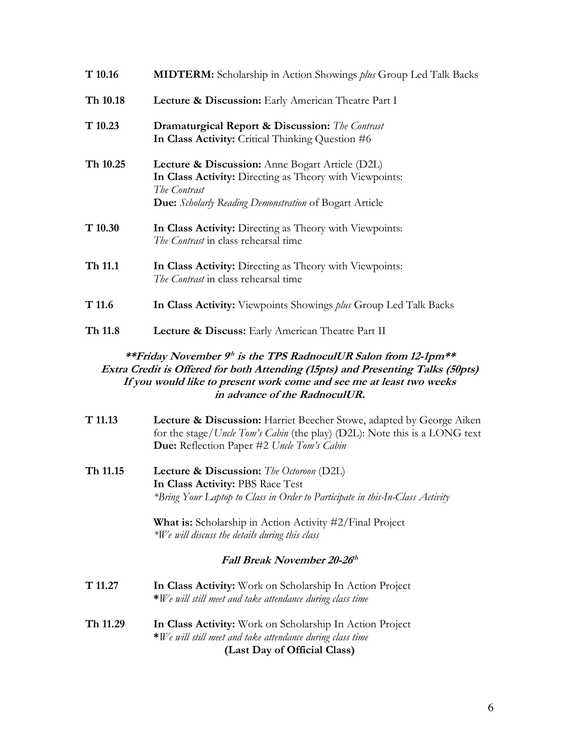| T 10.16                                                                                                                                                                                                                                                                 | <b>MIDTERM:</b> Scholarship in Action Showings plus Group Led Talk Backs                                                                                                                         |  |
|-------------------------------------------------------------------------------------------------------------------------------------------------------------------------------------------------------------------------------------------------------------------------|--------------------------------------------------------------------------------------------------------------------------------------------------------------------------------------------------|--|
| Th 10.18                                                                                                                                                                                                                                                                | Lecture & Discussion: Early American Theatre Part I                                                                                                                                              |  |
| T10.23                                                                                                                                                                                                                                                                  | <b>Dramaturgical Report &amp; Discussion:</b> The Contrast<br>In Class Activity: Critical Thinking Question #6                                                                                   |  |
| Th 10.25                                                                                                                                                                                                                                                                | Lecture & Discussion: Anne Bogart Article (D2L)<br>In Class Activity: Directing as Theory with Viewpoints:<br>The Contrast<br>Due: Scholarly Reading Demonstration of Bogart Article             |  |
| T 10.30                                                                                                                                                                                                                                                                 | In Class Activity: Directing as Theory with Viewpoints:<br>The Contrast in class rehearsal time                                                                                                  |  |
| Th 11.1                                                                                                                                                                                                                                                                 | In Class Activity: Directing as Theory with Viewpoints:<br>The Contrast in class rehearsal time                                                                                                  |  |
| T 11.6                                                                                                                                                                                                                                                                  | In Class Activity: Viewpoints Showings <i>plus</i> Group Led Talk Backs                                                                                                                          |  |
| Th 11.8                                                                                                                                                                                                                                                                 | Lecture & Discuss: Early American Theatre Part II                                                                                                                                                |  |
| **Friday November 9 <sup>th</sup> is the TPS RadnoculUR Salon from 12-1pm**<br>Extra Credit is Offered for both Attending (15pts) and Presenting Talks (50pts)<br>If you would like to present work come and see me at least two weeks<br>in advance of the RadnoculUR. |                                                                                                                                                                                                  |  |
| T 11.13                                                                                                                                                                                                                                                                 | Lecture & Discussion: Harriet Beecher Stowe, adapted by George Aiken<br>for the stage/Uncle Tom's Cabin (the play) (D2L): Note this is a LONG text<br>Due: Reflection Paper #2 Uncle Tom's Cabin |  |

**Th 11.15 Lecture & Discussion:** *The Octoroon* (D2L) **In Class Activity:** PBS Race Test *\*Bring Your Laptop to Class in Order to Participate in this-In-Class Activity* 

> **What is:** Scholarship in Action Activity #2/Final Project *\*We will discuss the details during this class*

#### Fall Break November 20-26<sup>th</sup>

- **T 11.27 In Class Activity:** Work on Scholarship In Action Project **\****We will still meet and take attendance during class time*
- **Th 11.29 In Class Activity:** Work on Scholarship In Action Project **\****We will still meet and take attendance during class time* **(Last Day of Official Class)**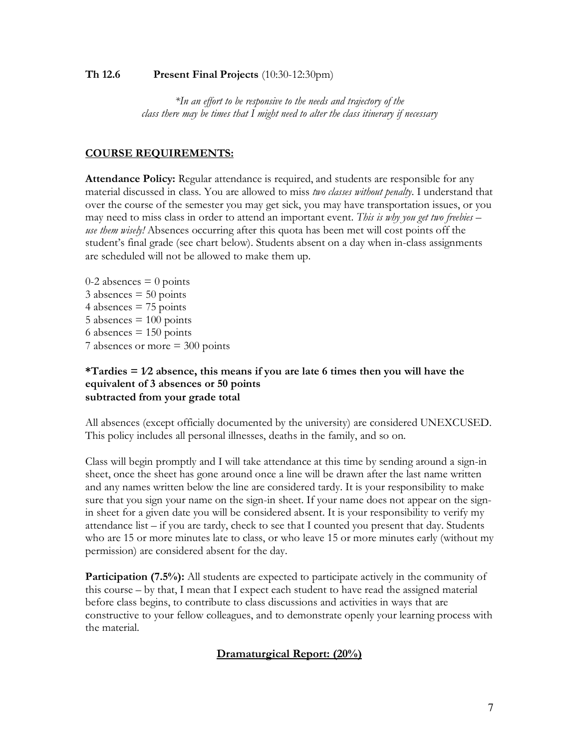#### **Th 12.6 Present Final Projects** (10:30-12:30pm)

*\*In an effort to be responsive to the needs and trajectory of the class there may be times that I might need to alter the class itinerary if necessary*

#### **COURSE REQUIREMENTS:**

**Attendance Policy:** Regular attendance is required, and students are responsible for any material discussed in class. You are allowed to miss *two classes without penalty*. I understand that over the course of the semester you may get sick, you may have transportation issues, or you may need to miss class in order to attend an important event. *This is why you get two freebies – use them wisely!* Absences occurring after this quota has been met will cost points off the student's final grade (see chart below). Students absent on a day when in-class assignments are scheduled will not be allowed to make them up.

 $0-2$  absences  $= 0$  points  $3$  absences  $= 50$  points 4 absences  $= 75$  points  $5$  absences  $= 100$  points 6 absences  $= 150$  points 7 absences or more = 300 points

#### **\*Tardies = 1⁄2 absence, this means if you are late 6 times then you will have the equivalent of 3 absences or 50 points subtracted from your grade total**

All absences (except officially documented by the university) are considered UNEXCUSED. This policy includes all personal illnesses, deaths in the family, and so on.

Class will begin promptly and I will take attendance at this time by sending around a sign-in sheet, once the sheet has gone around once a line will be drawn after the last name written and any names written below the line are considered tardy. It is your responsibility to make sure that you sign your name on the sign-in sheet. If your name does not appear on the signin sheet for a given date you will be considered absent. It is your responsibility to verify my attendance list  $-$  if you are tardy, check to see that I counted you present that day. Students who are 15 or more minutes late to class, or who leave 15 or more minutes early (without my permission) are considered absent for the day.

**Participation (7.5%):** All students are expected to participate actively in the community of this course – by that, I mean that I expect each student to have read the assigned material before class begins, to contribute to class discussions and activities in ways that are constructive to your fellow colleagues, and to demonstrate openly your learning process with the material.

### **Dramaturgical Report: (20%)**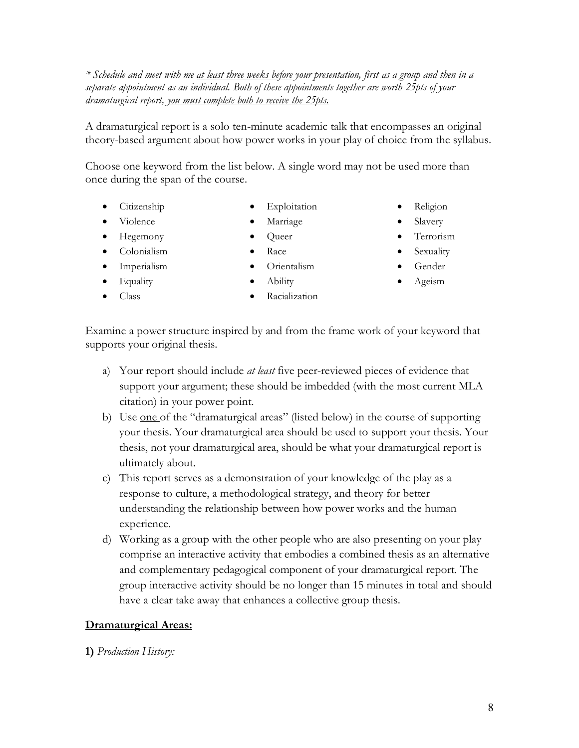*\* Schedule and meet with me at least three weeks before your presentation, first as a group and then in a separate appointment as an individual. Both of these appointments together are worth 25pts of your dramaturgical report, you must complete both to receive the 25pts.*

A dramaturgical report is a solo ten-minute academic talk that encompasses an original theory-based argument about how power works in your play of choice from the syllabus.

Choose one keyword from the list below. A single word may not be used more than once during the span of the course.

> • Exploitation • Marriage

- Citizenship
- Violence
- Hegemony
- Colonialism
- Imperialism
- Equality
- Class
- Queer
- Orientalism
- Racialization
- Religion
- Slavery
- Terrorism
- **Sexuality**
- Gender
- Ageism

Examine a power structure inspired by and from the frame work of your keyword that supports your original thesis.

- a) Your report should include *at least* five peer-reviewed pieces of evidence that support your argument; these should be imbedded (with the most current MLA citation) in your power point.
- b) Use one of the "dramaturgical areas" (listed below) in the course of supporting your thesis. Your dramaturgical area should be used to support your thesis. Your thesis, not your dramaturgical area, should be what your dramaturgical report is ultimately about.
- c) This report serves as a demonstration of your knowledge of the play as a response to culture, a methodological strategy, and theory for better understanding the relationship between how power works and the human experience.
- d) Working as a group with the other people who are also presenting on your play comprise an interactive activity that embodies a combined thesis as an alternative and complementary pedagogical component of your dramaturgical report. The group interactive activity should be no longer than 15 minutes in total and should have a clear take away that enhances a collective group thesis.

#### **Dramaturgical Areas:**

#### **1)** *Production History:*

- Race
	-
	- Ability
-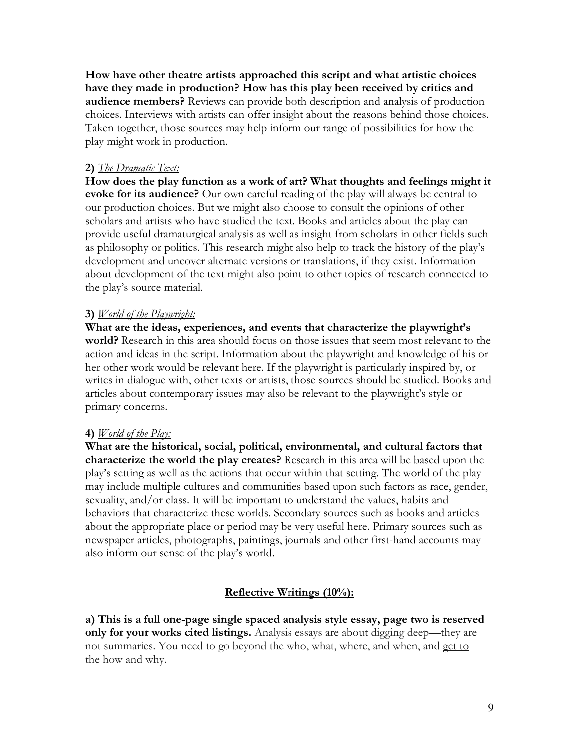**How have other theatre artists approached this script and what artistic choices have they made in production? How has this play been received by critics and audience members?** Reviews can provide both description and analysis of production choices. Interviews with artists can offer insight about the reasons behind those choices. Taken together, those sources may help inform our range of possibilities for how the play might work in production.

## **2)** *The Dramatic Text:*

**How does the play function as a work of art? What thoughts and feelings might it evoke for its audience?** Our own careful reading of the play will always be central to our production choices. But we might also choose to consult the opinions of other scholars and artists who have studied the text. Books and articles about the play can provide useful dramaturgical analysis as well as insight from scholars in other fields such as philosophy or politics. This research might also help to track the history of the play's development and uncover alternate versions or translations, if they exist. Information about development of the text might also point to other topics of research connected to the play's source material.

## **3)** *World of the Playwright:*

**What are the ideas, experiences, and events that characterize the playwright's world?** Research in this area should focus on those issues that seem most relevant to the action and ideas in the script. Information about the playwright and knowledge of his or her other work would be relevant here. If the playwright is particularly inspired by, or writes in dialogue with, other texts or artists, those sources should be studied. Books and articles about contemporary issues may also be relevant to the playwright's style or primary concerns.

### **4)** *World of the Play:*

**What are the historical, social, political, environmental, and cultural factors that characterize the world the play creates?** Research in this area will be based upon the play's setting as well as the actions that occur within that setting. The world of the play may include multiple cultures and communities based upon such factors as race, gender, sexuality, and/or class. It will be important to understand the values, habits and behaviors that characterize these worlds. Secondary sources such as books and articles about the appropriate place or period may be very useful here. Primary sources such as newspaper articles, photographs, paintings, journals and other first-hand accounts may also inform our sense of the play's world.

# **Reflective Writings (10%):**

**a) This is a full one-page single spaced analysis style essay, page two is reserved only for your works cited listings.** Analysis essays are about digging deep—they are not summaries. You need to go beyond the who, what, where, and when, and get to the how and why.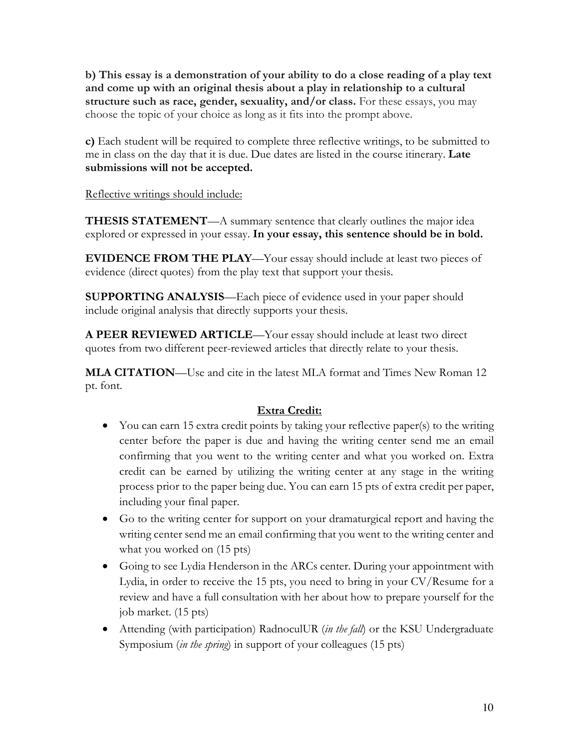**b) This essay is a demonstration of your ability to do a close reading of a play text and come up with an original thesis about a play in relationship to a cultural structure such as race, gender, sexuality, and/or class.** For these essays, you may choose the topic of your choice as long as it fits into the prompt above.

**c)** Each student will be required to complete three reflective writings, to be submitted to me in class on the day that it is due. Due dates are listed in the course itinerary. **Late submissions will not be accepted.** 

Reflective writings should include:

**THESIS STATEMENT—A** summary sentence that clearly outlines the major idea explored or expressed in your essay. **In your essay, this sentence should be in bold.**

**EVIDENCE FROM THE PLAY**—Your essay should include at least two pieces of evidence (direct quotes) from the play text that support your thesis.

**SUPPORTING ANALYSIS**—Each piece of evidence used in your paper should include original analysis that directly supports your thesis.

**A PEER REVIEWED ARTICLE**—Your essay should include at least two direct quotes from two different peer-reviewed articles that directly relate to your thesis.

**MLA CITATION**—Use and cite in the latest MLA format and Times New Roman 12 pt. font.

# **Extra Credit:**

- You can earn 15 extra credit points by taking your reflective paper(s) to the writing center before the paper is due and having the writing center send me an email confirming that you went to the writing center and what you worked on. Extra credit can be earned by utilizing the writing center at any stage in the writing process prior to the paper being due. You can earn 15 pts of extra credit per paper, including your final paper.
- Go to the writing center for support on your dramaturgical report and having the writing center send me an email confirming that you went to the writing center and what you worked on (15 pts)
- Going to see Lydia Henderson in the ARCs center. During your appointment with Lydia, in order to receive the 15 pts, you need to bring in your CV/Resume for a review and have a full consultation with her about how to prepare yourself for the job market. (15 pts)
- Attending (with participation) RadnoculUR (*in the fall*) or the KSU Undergraduate Symposium (*in the spring*) in support of your colleagues (15 pts)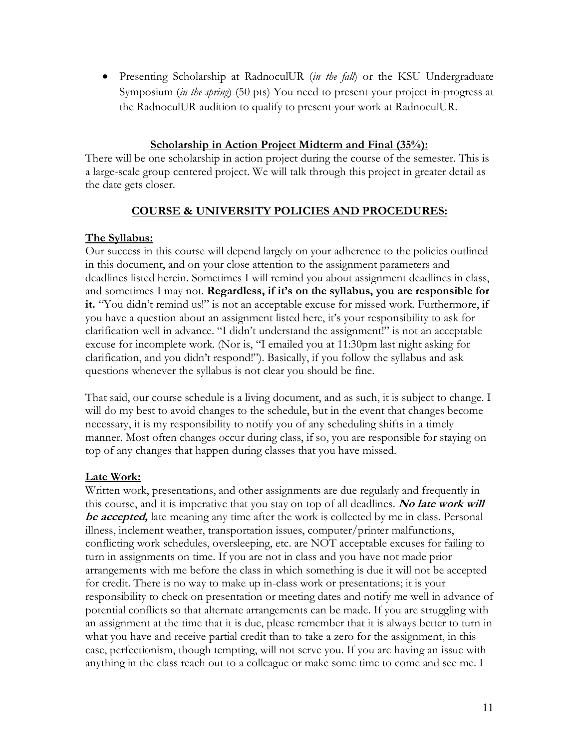• Presenting Scholarship at RadnoculUR (*in the fall*) or the KSU Undergraduate Symposium (*in the spring*) (50 pts) You need to present your project-in-progress at the RadnoculUR audition to qualify to present your work at RadnoculUR.

### **Scholarship in Action Project Midterm and Final (35%):**

There will be one scholarship in action project during the course of the semester. This is a large-scale group centered project. We will talk through this project in greater detail as the date gets closer.

### **COURSE & UNIVERSITY POLICIES AND PROCEDURES:**

### **The Syllabus:**

Our success in this course will depend largely on your adherence to the policies outlined in this document, and on your close attention to the assignment parameters and deadlines listed herein. Sometimes I will remind you about assignment deadlines in class, and sometimes I may not. **Regardless, if it's on the syllabus, you are responsible for it.** "You didn't remind us!" is not an acceptable excuse for missed work. Furthermore, if you have a question about an assignment listed here, it's your responsibility to ask for clarification well in advance. "I didn't understand the assignment!" is not an acceptable excuse for incomplete work. (Nor is, "I emailed you at 11:30pm last night asking for clarification, and you didn't respond!"). Basically, if you follow the syllabus and ask questions whenever the syllabus is not clear you should be fine.

That said, our course schedule is a living document, and as such, it is subject to change. I will do my best to avoid changes to the schedule, but in the event that changes become necessary, it is my responsibility to notify you of any scheduling shifts in a timely manner. Most often changes occur during class, if so, you are responsible for staying on top of any changes that happen during classes that you have missed.

### **Late Work:**

Written work, presentations, and other assignments are due regularly and frequently in this course, and it is imperative that you stay on top of all deadlines. **No late work will be accepted,** late meaning any time after the work is collected by me in class. Personal illness, inclement weather, transportation issues, computer/printer malfunctions, conflicting work schedules, oversleeping, etc. are NOT acceptable excuses for failing to turn in assignments on time. If you are not in class and you have not made prior arrangements with me before the class in which something is due it will not be accepted for credit. There is no way to make up in-class work or presentations; it is your responsibility to check on presentation or meeting dates and notify me well in advance of potential conflicts so that alternate arrangements can be made. If you are struggling with an assignment at the time that it is due, please remember that it is always better to turn in what you have and receive partial credit than to take a zero for the assignment, in this case, perfectionism, though tempting, will not serve you. If you are having an issue with anything in the class reach out to a colleague or make some time to come and see me. I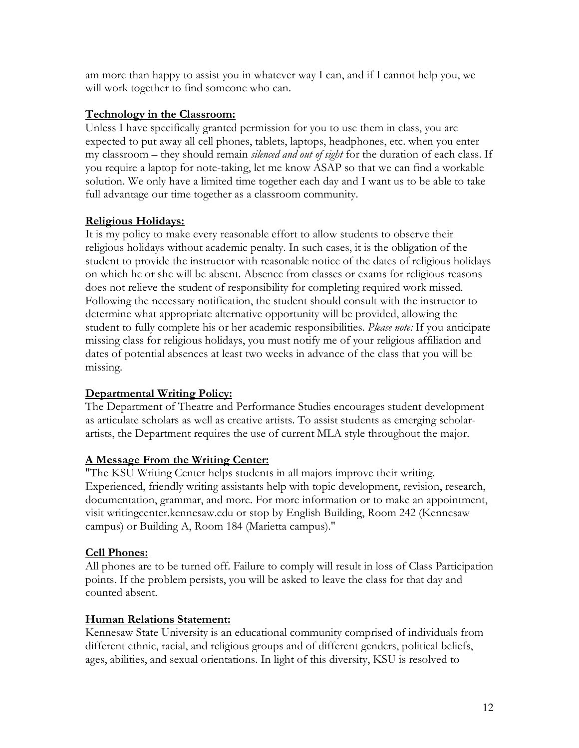am more than happy to assist you in whatever way I can, and if I cannot help you, we will work together to find someone who can.

## **Technology in the Classroom:**

Unless I have specifically granted permission for you to use them in class, you are expected to put away all cell phones, tablets, laptops, headphones, etc. when you enter my classroom – they should remain *silenced and out of sight* for the duration of each class. If you require a laptop for note-taking, let me know ASAP so that we can find a workable solution. We only have a limited time together each day and I want us to be able to take full advantage our time together as a classroom community.

# **Religious Holidays:**

It is my policy to make every reasonable effort to allow students to observe their religious holidays without academic penalty. In such cases, it is the obligation of the student to provide the instructor with reasonable notice of the dates of religious holidays on which he or she will be absent. Absence from classes or exams for religious reasons does not relieve the student of responsibility for completing required work missed. Following the necessary notification, the student should consult with the instructor to determine what appropriate alternative opportunity will be provided, allowing the student to fully complete his or her academic responsibilities. *Please note:* If you anticipate missing class for religious holidays, you must notify me of your religious affiliation and dates of potential absences at least two weeks in advance of the class that you will be missing.

# **Departmental Writing Policy:**

The Department of Theatre and Performance Studies encourages student development as articulate scholars as well as creative artists. To assist students as emerging scholarartists, the Department requires the use of current MLA style throughout the major.

### **A Message From the Writing Center:**

"The KSU Writing Center helps students in all majors improve their writing. Experienced, friendly writing assistants help with topic development, revision, research, documentation, grammar, and more. For more information or to make an appointment, visit writingcenter.kennesaw.edu or stop by English Building, Room 242 (Kennesaw campus) or Building A, Room 184 (Marietta campus)."

### **Cell Phones:**

All phones are to be turned off. Failure to comply will result in loss of Class Participation points. If the problem persists, you will be asked to leave the class for that day and counted absent.

# **Human Relations Statement:**

Kennesaw State University is an educational community comprised of individuals from different ethnic, racial, and religious groups and of different genders, political beliefs, ages, abilities, and sexual orientations. In light of this diversity, KSU is resolved to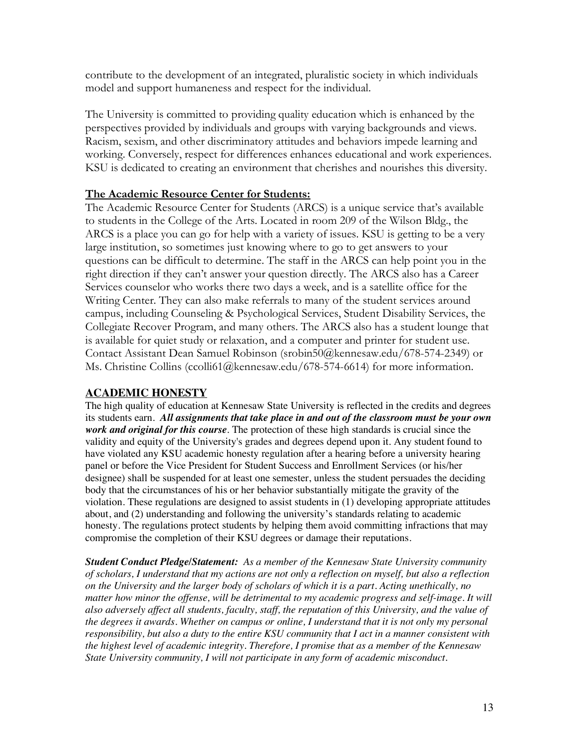contribute to the development of an integrated, pluralistic society in which individuals model and support humaneness and respect for the individual.

The University is committed to providing quality education which is enhanced by the perspectives provided by individuals and groups with varying backgrounds and views. Racism, sexism, and other discriminatory attitudes and behaviors impede learning and working. Conversely, respect for differences enhances educational and work experiences. KSU is dedicated to creating an environment that cherishes and nourishes this diversity.

### **The Academic Resource Center for Students:**

The Academic Resource Center for Students (ARCS) is a unique service that's available to students in the College of the Arts. Located in room 209 of the Wilson Bldg., the ARCS is a place you can go for help with a variety of issues. KSU is getting to be a very large institution, so sometimes just knowing where to go to get answers to your questions can be difficult to determine. The staff in the ARCS can help point you in the right direction if they can't answer your question directly. The ARCS also has a Career Services counselor who works there two days a week, and is a satellite office for the Writing Center. They can also make referrals to many of the student services around campus, including Counseling & Psychological Services, Student Disability Services, the Collegiate Recover Program, and many others. The ARCS also has a student lounge that is available for quiet study or relaxation, and a computer and printer for student use. Contact Assistant Dean Samuel Robinson (srobin50@kennesaw.edu/678-574-2349) or Ms. Christine Collins (ccolli61@kennesaw.edu/678-574-6614) for more information.

### **ACADEMIC HONESTY**

The high quality of education at Kennesaw State University is reflected in the credits and degrees its students earn. *All assignments that take place in and out of the classroom must be your own work and original for this course*. The protection of these high standards is crucial since the validity and equity of the University's grades and degrees depend upon it. Any student found to have violated any KSU academic honesty regulation after a hearing before a university hearing panel or before the Vice President for Student Success and Enrollment Services (or his/her designee) shall be suspended for at least one semester, unless the student persuades the deciding body that the circumstances of his or her behavior substantially mitigate the gravity of the violation. These regulations are designed to assist students in (1) developing appropriate attitudes about, and (2) understanding and following the university's standards relating to academic honesty. The regulations protect students by helping them avoid committing infractions that may compromise the completion of their KSU degrees or damage their reputations.

*Student Conduct Pledge/Statement: As a member of the Kennesaw State University community of scholars, I understand that my actions are not only a reflection on myself, but also a reflection on the University and the larger body of scholars of which it is a part. Acting unethically, no matter how minor the offense, will be detrimental to my academic progress and self-image. It will also adversely affect all students, faculty, staff, the reputation of this University, and the value of the degrees it awards. Whether on campus or online, I understand that it is not only my personal responsibility, but also a duty to the entire KSU community that I act in a manner consistent with the highest level of academic integrity. Therefore, I promise that as a member of the Kennesaw State University community, I will not participate in any form of academic misconduct.*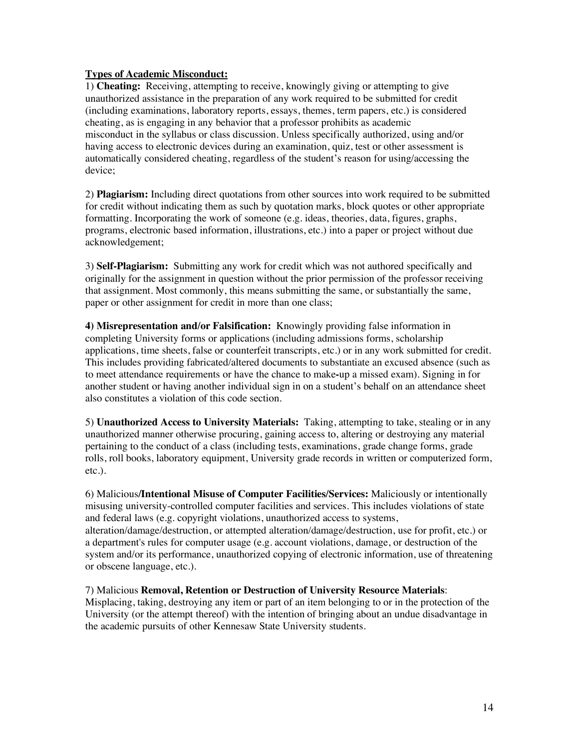#### **Types of Academic Misconduct:**

1) **Cheating:** Receiving, attempting to receive, knowingly giving or attempting to give unauthorized assistance in the preparation of any work required to be submitted for credit (including examinations, laboratory reports, essays, themes, term papers, etc.) is considered cheating, as is engaging in any behavior that a professor prohibits as academic misconduct in the syllabus or class discussion. Unless specifically authorized, using and/or having access to electronic devices during an examination, quiz, test or other assessment is automatically considered cheating, regardless of the student's reason for using/accessing the device;

2) **Plagiarism:** Including direct quotations from other sources into work required to be submitted for credit without indicating them as such by quotation marks, block quotes or other appropriate formatting. Incorporating the work of someone (e.g. ideas, theories, data, figures, graphs, programs, electronic based information, illustrations, etc.) into a paper or project without due acknowledgement;

3) **Self-Plagiarism:** Submitting any work for credit which was not authored specifically and originally for the assignment in question without the prior permission of the professor receiving that assignment. Most commonly, this means submitting the same, or substantially the same, paper or other assignment for credit in more than one class;

**4) Misrepresentation and/or Falsification:** Knowingly providing false information in completing University forms or applications (including admissions forms, scholarship applications, time sheets, false or counterfeit transcripts, etc.) or in any work submitted for credit. This includes providing fabricated/altered documents to substantiate an excused absence (such as to meet attendance requirements or have the chance to make**-**up a missed exam). Signing in for another student or having another individual sign in on a student's behalf on an attendance sheet also constitutes a violation of this code section.

5) **Unauthorized Access to University Materials:** Taking, attempting to take, stealing or in any unauthorized manner otherwise procuring, gaining access to, altering or destroying any material pertaining to the conduct of a class (including tests, examinations, grade change forms, grade rolls, roll books, laboratory equipment, University grade records in written or computerized form, etc.).

6) Malicious**/Intentional Misuse of Computer Facilities/Services:** Maliciously or intentionally misusing university-controlled computer facilities and services. This includes violations of state and federal laws (e.g. copyright violations, unauthorized access to systems, alteration/damage/destruction, or attempted alteration/damage/destruction, use for profit, etc.) or a department's rules for computer usage (e.g. account violations, damage, or destruction of the

system and/or its performance, unauthorized copying of electronic information, use of threatening or obscene language, etc.).

#### 7) Malicious **Removal, Retention or Destruction of University Resource Materials**:

Misplacing, taking, destroying any item or part of an item belonging to or in the protection of the University (or the attempt thereof) with the intention of bringing about an undue disadvantage in the academic pursuits of other Kennesaw State University students.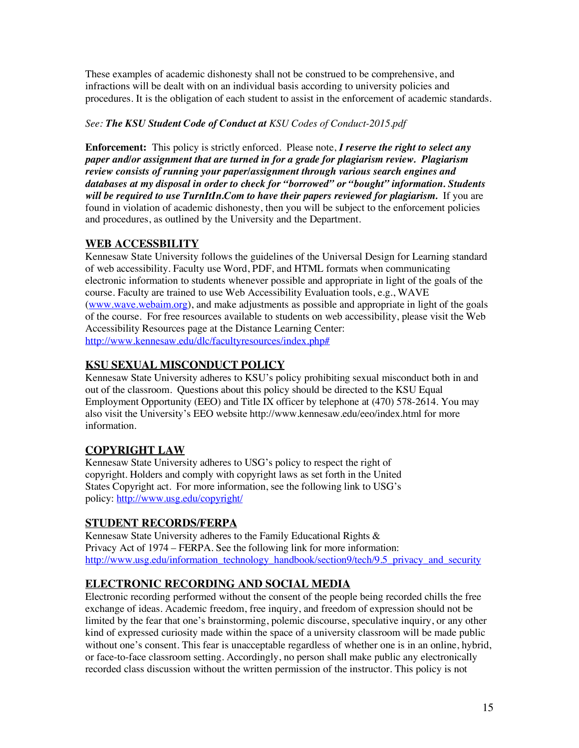These examples of academic dishonesty shall not be construed to be comprehensive, and infractions will be dealt with on an individual basis according to university policies and procedures. It is the obligation of each student to assist in the enforcement of academic standards.

#### *See: The KSU Student Code of Conduct at KSU Codes of Conduct-2015.pdf*

**Enforcement:** This policy is strictly enforced. Please note, *I reserve the right to select any paper and/or assignment that are turned in for a grade for plagiarism review. Plagiarism review consists of running your paper/assignment through various search engines and databases at my disposal in order to check for "borrowed" or "bought" information. Students will be required to use TurnItIn.Com to have their papers reviewed for plagiarism.* If you are found in violation of academic dishonesty, then you will be subject to the enforcement policies and procedures, as outlined by the University and the Department.

## **WEB ACCESSBILITY**

Kennesaw State University follows the guidelines of the Universal Design for Learning standard of web accessibility. Faculty use Word, PDF, and HTML formats when communicating electronic information to students whenever possible and appropriate in light of the goals of the course. Faculty are trained to use Web Accessibility Evaluation tools, e.g., WAVE (www.wave.webaim.org), and make adjustments as possible and appropriate in light of the goals of the course. For free resources available to students on web accessibility, please visit the Web Accessibility Resources page at the Distance Learning Center: http://www.kennesaw.edu/dlc/facultyresources/index.php#

## **KSU SEXUAL MISCONDUCT POLICY**

Kennesaw State University adheres to KSU's policy prohibiting sexual misconduct both in and out of the classroom. Questions about this policy should be directed to the KSU Equal Employment Opportunity (EEO) and Title IX officer by telephone at (470) 578-2614. You may also visit the University's EEO website http://www.kennesaw.edu/eeo/index.html for more information.

### **COPYRIGHT LAW**

Kennesaw State University adheres to USG's policy to respect the right of copyright. Holders and comply with copyright laws as set forth in the United States Copyright act. For more information, see the following link to USG's policy: http://www.usg.edu/copyright/

### **STUDENT RECORDS/FERPA**

Kennesaw State University adheres to the Family Educational Rights & Privacy Act of 1974 – FERPA. See the following link for more information: http://www.usg.edu/information\_technology\_handbook/section9/tech/9.5\_privacy\_and\_security

# **ELECTRONIC RECORDING AND SOCIAL MEDIA**

Electronic recording performed without the consent of the people being recorded chills the free exchange of ideas. Academic freedom, free inquiry, and freedom of expression should not be limited by the fear that one's brainstorming, polemic discourse, speculative inquiry, or any other kind of expressed curiosity made within the space of a university classroom will be made public without one's consent. This fear is unacceptable regardless of whether one is in an online, hybrid, or face-to-face classroom setting. Accordingly, no person shall make public any electronically recorded class discussion without the written permission of the instructor. This policy is not